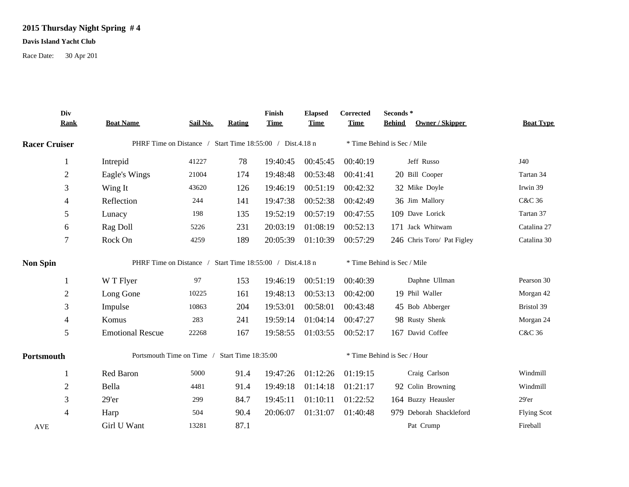## **2015 Thursday Night Spring # 4**

## **Davis Island Yacht Club**

Race Date: 30 Apr 201

|                      | Div<br><b>Rank</b> | <b>Boat Name</b>                                          | Sail No.                                                  | Rating | Finish<br><b>Time</b>       | <b>Elapsed</b><br><b>Time</b> | Corrected<br><b>Time</b>    | Seconds*<br>Owner / Skipper<br><b>Behind</b> | <b>Boat Type</b>   |  |
|----------------------|--------------------|-----------------------------------------------------------|-----------------------------------------------------------|--------|-----------------------------|-------------------------------|-----------------------------|----------------------------------------------|--------------------|--|
| <b>Racer Cruiser</b> |                    |                                                           | PHRF Time on Distance / Start Time 18:55:00 / Dist.4.18 n |        | * Time Behind is Sec / Mile |                               |                             |                                              |                    |  |
|                      | 1                  | Intrepid                                                  | 41227                                                     | 78     | 19:40:45                    | 00:45:45                      | 00:40:19                    | Jeff Russo                                   | J40                |  |
|                      | $\mathfrak{2}$     | Eagle's Wings                                             | 21004                                                     | 174    | 19:48:48                    | 00:53:48                      | 00:41:41                    | 20 Bill Cooper                               | Tartan 34          |  |
|                      | 3                  | Wing It                                                   | 43620                                                     | 126    | 19:46:19                    | 00:51:19                      | 00:42:32                    | 32 Mike Doyle                                | Irwin 39           |  |
|                      | $\overline{4}$     | Reflection                                                | 244                                                       | 141    | 19:47:38                    | 00:52:38                      | 00:42:49                    | 36 Jim Mallory                               | C&C 36             |  |
|                      | 5                  | Lunacy                                                    | 198                                                       | 135    | 19:52:19                    | 00:57:19                      | 00:47:55                    | 109 Dave Lorick                              | Tartan 37          |  |
|                      | 6                  | Rag Doll                                                  | 5226                                                      | 231    | 20:03:19                    | 01:08:19                      | 00:52:13                    | 171 Jack Whitwam                             | Catalina 27        |  |
|                      | $\tau$             | Rock On                                                   | 4259                                                      | 189    | 20:05:39                    | 01:10:39                      | 00:57:29                    | 246 Chris Toro/ Pat Figley                   | Catalina 30        |  |
| <b>Non Spin</b>      |                    | PHRF Time on Distance / Start Time 18:55:00 / Dist.4.18 n |                                                           |        |                             |                               | * Time Behind is Sec / Mile |                                              |                    |  |
|                      | $\mathbf{1}$       | W T Flyer                                                 | 97                                                        | 153    | 19:46:19                    | 00:51:19                      | 00:40:39                    | Daphne Ullman                                | Pearson 30         |  |
|                      | $\boldsymbol{2}$   | Long Gone                                                 | 10225                                                     | 161    | 19:48:13                    | 00:53:13                      | 00:42:00                    | 19 Phil Waller                               | Morgan 42          |  |
|                      | 3                  | Impulse                                                   | 10863                                                     | 204    | 19:53:01                    | 00:58:01                      | 00:43:48                    | 45 Bob Abberger                              | Bristol 39         |  |
|                      | 4                  | Komus                                                     | 283                                                       | 241    | 19:59:14                    | 01:04:14                      | 00:47:27                    | 98 Rusty Shenk                               | Morgan 24          |  |
|                      | 5                  | <b>Emotional Rescue</b>                                   | 22268                                                     | 167    | 19:58:55                    | 01:03:55                      | 00:52:17                    | 167 David Coffee                             | C&C 36             |  |
| Portsmouth           |                    | Portsmouth Time on Time / Start Time 18:35:00             |                                                           |        |                             | * Time Behind is Sec / Hour   |                             |                                              |                    |  |
|                      | -1                 | Red Baron                                                 | 5000                                                      | 91.4   | 19:47:26                    | 01:12:26                      | 01:19:15                    | Craig Carlson                                | Windmill           |  |
|                      | $\overline{2}$     | Bella                                                     | 4481                                                      | 91.4   | 19:49:18                    | 01:14:18                      | 01:21:17                    | 92 Colin Browning                            | Windmill           |  |
|                      | 3                  | 29'er                                                     | 299                                                       | 84.7   | 19:45:11                    | 01:10:11                      | 01:22:52                    | 164 Buzzy Heausler                           | 29'er              |  |
|                      | $\overline{4}$     | Harp                                                      | 504                                                       | 90.4   | 20:06:07                    | 01:31:07                      | 01:40:48                    | 979 Deborah Shackleford                      | <b>Flying Scot</b> |  |
| <b>AVE</b>           |                    | Girl U Want                                               | 13281                                                     | 87.1   |                             |                               |                             | Pat Crump                                    | Fireball           |  |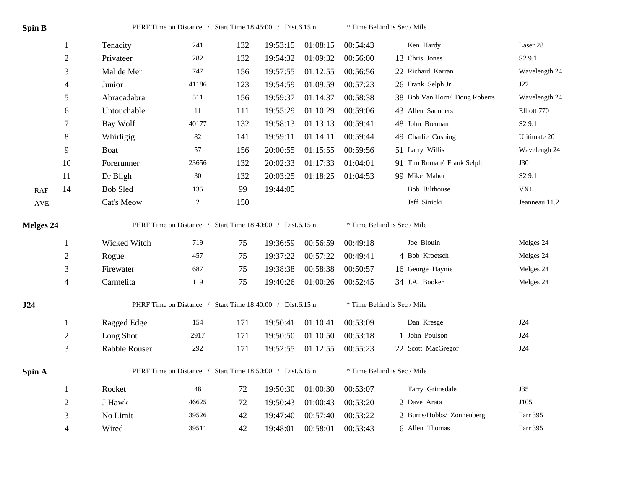| <b>Spin B</b> |                |                                                           |                | PHRF Time on Distance / Start Time 18:45:00 / Dist.6.15 n |          |          |          | * Time Behind is Sec / Mile   |                    |  |  |
|---------------|----------------|-----------------------------------------------------------|----------------|-----------------------------------------------------------|----------|----------|----------|-------------------------------|--------------------|--|--|
|               | $\mathbf{1}$   | Tenacity                                                  | 241            | 132                                                       | 19:53:15 | 01:08:15 | 00:54:43 | Ken Hardy                     | Laser 28           |  |  |
|               | $\sqrt{2}$     | Privateer                                                 | 282            | 132                                                       | 19:54:32 | 01:09:32 | 00:56:00 | 13 Chris Jones                | S <sub>2</sub> 9.1 |  |  |
|               | 3              | Mal de Mer                                                | 747            | 156                                                       | 19:57:55 | 01:12:55 | 00:56:56 | 22 Richard Karran             | Wavelength 24      |  |  |
|               | $\overline{4}$ | Junior                                                    | 41186          | 123                                                       | 19:54:59 | 01:09:59 | 00:57:23 | 26 Frank Selph Jr             | J27                |  |  |
|               | 5              | Abracadabra                                               | 511            | 156                                                       | 19:59:37 | 01:14:37 | 00:58:38 | 38 Bob Van Horn/ Doug Roberts | Wavelength 24      |  |  |
|               | 6              | Untouchable                                               | 11             | 111                                                       | 19:55:29 | 01:10:29 | 00:59:06 | 43 Allen Saunders             | Elliott 770        |  |  |
|               | 7              | Bay Wolf                                                  | 40177          | 132                                                       | 19:58:13 | 01:13:13 | 00:59:41 | 48 John Brennan               | S2 9.1             |  |  |
|               | $\,8\,$        | Whirligig                                                 | $82\,$         | 141                                                       | 19:59:11 | 01:14:11 | 00:59:44 | 49 Charlie Cushing            | Ulitimate 20       |  |  |
|               | 9              | Boat                                                      | 57             | 156                                                       | 20:00:55 | 01:15:55 | 00:59:56 | 51 Larry Willis               | Wavelengh 24       |  |  |
|               | 10             | Forerunner                                                | 23656          | 132                                                       | 20:02:33 | 01:17:33 | 01:04:01 | 91 Tim Ruman/ Frank Selph     | <b>J30</b>         |  |  |
|               | 11             | Dr Bligh                                                  | $30\,$         | 132                                                       | 20:03:25 | 01:18:25 | 01:04:53 | 99 Mike Maher                 | S <sub>2</sub> 9.1 |  |  |
| <b>RAF</b>    | 14             | <b>Bob Sled</b>                                           | 135            | 99                                                        | 19:44:05 |          |          | <b>Bob Bilthouse</b>          | VX1                |  |  |
| AVE           |                | Cat's Meow                                                | $\overline{2}$ | 150                                                       |          |          |          | Jeff Sinicki                  | Jeanneau 11.2      |  |  |
| Melges 24     |                | PHRF Time on Distance / Start Time 18:40:00 / Dist.6.15 n |                |                                                           |          |          |          | * Time Behind is Sec / Mile   |                    |  |  |
|               | $\mathbf{1}$   | Wicked Witch                                              | 719            | 75                                                        | 19:36:59 | 00:56:59 | 00:49:18 | Joe Blouin                    | Melges 24          |  |  |
|               | $\overline{2}$ | Rogue                                                     | 457            | 75                                                        | 19:37:22 | 00:57:22 | 00:49:41 | 4 Bob Kroetsch                | Melges 24          |  |  |
|               | 3              | Firewater                                                 | 687            | 75                                                        | 19:38:38 | 00:58:38 | 00:50:57 | 16 George Haynie              | Melges 24          |  |  |
|               | $\overline{4}$ | Carmelita                                                 | 119            | 75                                                        | 19:40:26 | 01:00:26 | 00:52:45 | 34 J.A. Booker                | Melges 24          |  |  |
| J24           |                | PHRF Time on Distance / Start Time 18:40:00 / Dist.6.15 n |                |                                                           |          |          |          | * Time Behind is Sec / Mile   |                    |  |  |
|               | $\mathbf{1}$   | Ragged Edge                                               | 154            | 171                                                       | 19:50:41 | 01:10:41 | 00:53:09 | Dan Kresge                    | J24                |  |  |
|               | $\overline{2}$ | Long Shot                                                 | 2917           | 171                                                       | 19:50:50 | 01:10:50 | 00:53:18 | 1 John Poulson                | J24                |  |  |
|               | 3              | Rabble Rouser                                             | 292            | 171                                                       | 19:52:55 | 01:12:55 | 00:55:23 | 22 Scott MacGregor            | J24                |  |  |
| Spin A        |                | PHRF Time on Distance / Start Time 18:50:00 / Dist.6.15 n |                |                                                           |          |          |          | * Time Behind is Sec / Mile   |                    |  |  |
|               | $\mathbf{1}$   | Rocket                                                    | $48\,$         | 72                                                        | 19:50:30 | 01:00:30 | 00:53:07 | Tarry Grimsdale               | J35                |  |  |
|               | $\overline{2}$ | J-Hawk                                                    | 46625          | 72                                                        | 19:50:43 | 01:00:43 | 00:53:20 | 2 Dave Arata                  | J105               |  |  |
|               | 3              | No Limit                                                  | 39526          | 42                                                        | 19:47:40 | 00:57:40 | 00:53:22 | 2 Burns/Hobbs/ Zonnenberg     | Farr 395           |  |  |
|               | $\overline{4}$ | Wired                                                     | 39511          | 42                                                        | 19:48:01 | 00:58:01 | 00:53:43 | 6 Allen Thomas                | Farr 395           |  |  |